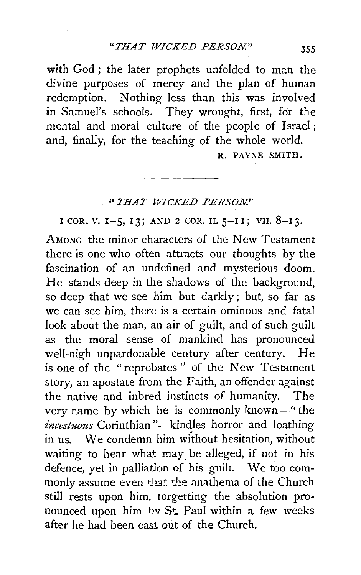with God; the later prophets unfolded to man the divine purposes of mercy and the plan of human redemption. Nothing less than this was involved in Samuel's schools. They wrought, first, for the mental and moral culture of the people of Israel; and, finally, for the teaching of the whole world. R. PAYNE SMITH.

## *''THAT WICKED PERSON."*

I COR. V. I-5, IJ; AND *2* COR. II. 5-II; VII. 8-IJ.

AMoNG the minor characters of the New Testament there is one who often attracts our thoughts by the fascination of an undefined and mysterious doom. He stands deep in the shadows of the background, so deep that we see him but darkly; but, so far as we can see him, there is a certain ominous and fatal look about the man, an air of guilt, and of such guilt as the moral sense of mankind has pronounced well-nigh unpardonable century after century. He is one of the "reprobates " of the New Testament story, an apostate from the Faith, an offender against the native and inbred instincts of humanity. The very name by which he is commonly known-" the *incestuous* Corinthian "-kindles horror and loathing in us. We condemn him without hesitation, without waiting to hear what may be alleged, if not in his defence, yet in palliation of his guilt. We too commonly assume even that the anathema of the Church still rests upon him, iorgetting the absolution pronounced upon him hv St. Paul within a few weeks after he had been cast out of the Church.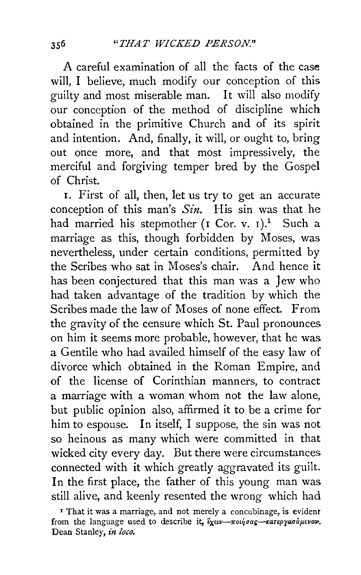A careful examination of all the facts of the case will, I believe, much modify our conception of this guilty and most miserable man. It will also modify our conception of the method of discipline which obtained in the primitive Church and of its spirit and intention. And, finally, it will, or ought to, bring out once more, and that most impressively, the merciful and forgiving temper bred by the Gospel of Christ.

1. First of all, then, let us try to get an accurate conception of this man's *Sin.* His sin was that he had married his stepmother (I Cor. v. I).<sup>1</sup> Such a marriage as this, though forbidden by Moses, was nevertheless, under certain conditions, permitted by the Scribes who sat in Moses's chair. And hence it has been conjectured that this man was a Jew who had taken advantage of the tradition by which the Scribes made the law of Moses of none effect. From the gravity of the censure which St. Paul pronounces on him it seems more probable, however, that he was a Gentile who had availed himself of the easy law of divorce which obtained in the Roman Empire, and of the license of Corinthian manners, to contract a marriage with a woman whom not the law alone, but public opinion also, affirmed it to be a crime for him to espouse. In itself, I suppose, the sin was not so heinous as many which were committed in that wicked city every day. But there were circumstances connected with it which greatly aggravated its guilt. In the first place, the father of this young man was still alive, and keenly resented the wrong which had

<sup>&</sup>lt;sup>1</sup> That it was a marriage, and not merely a concubinage, is evident from the language used to describe it,  $\frac{y}{\lambda}x \mu\nu - \pi \omega \eta \sigma \alpha \zeta - \kappa \alpha \tau \epsilon \rho \gamma \alpha \sigma \alpha \mu \epsilon \nu \sigma \nu$ . Dean Stanley, in loco.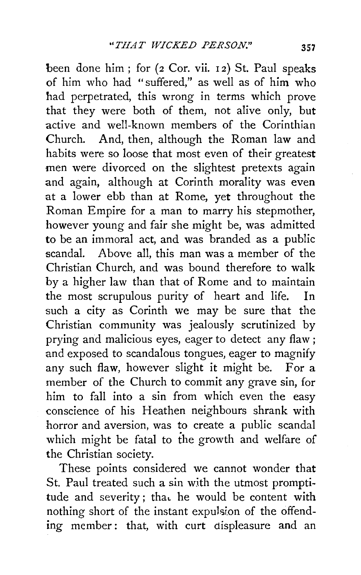been done him; for (2 Cor. vii. 12) St. Paul speaks of him who had "suffered," as well as of him who had perpetrated, this wrong in terms which prove that they were both of them, not alive only, but active and well-known members of the Corinthian Church. And, then, although the Roman law and habits were so loose that most even of their greatest men were divorced on the slightest pretexts again and again, although at Corinth morality was even at a lower ebb than at Rome, yet throughout the Roman Empire for a man to marry his stepmother, however young and fair she might be, was admitted to be an immoral act, and was branded as a public scandal. Above all, this man was a member of the Christian Church, and was bound therefore to walk by a higher law than that of Rome and to maintain the most scrupulous purity of heart and life. In such a city as Corinth we may be sure that the Christian community was jealously scrutinized by prying and malicious eyes, eager to detect any flaw; and exposed to scandalous tongues, eager to magnify any such flaw, however slight it might be. For a member of the Church to commit any grave sin, for him to fall into a sin from which even the easy conscience of his Heathen neighbours shrank with horror and aversion, was to create a public scandal which might be fatal to the growth and welfare of the Christian society.

These points considered we cannot wonder that St. Paul treated such a sin with the utmost promptitude and severity; that he would be content with nothing short of the instant expulsion of the offending member: that, with curt displeasure and an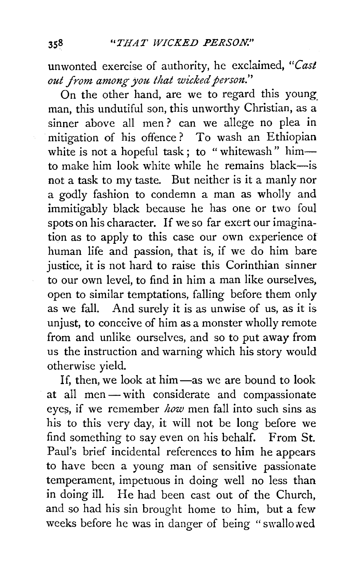unwonted exercise of authority, he exclaimed, *"Cast out from among you that wicked person."* 

On the other hand, are we to regard this young man, this undutiful son, this unworthy Christian, as a sinner above all men ? can we allege no plea in mitigation of his offence? To wash an Ethiopian white is not a hopeful task; to "whitewash" himto make him look white while he remains black-is not a task to my taste. But neither is it a manly nor a godly fashion to condemn a man as wholly and immitigably black because he has one or two foul spots on his character. If we so far exert our imagination as to apply to this case our own experience of human life and passion, that is, if we do him bare justice, it is not hard to raise this Corinthian sinner to our own level, to find in him a man like ourselves, open to similar temptations, falling before them only as we fall. And surely it is as unwise of us, as it is unjust, to conceive of him as a monster wholly remote from and unlike ourselves, and so to put away from us the instruction and warning which his story would otherwise yield.

If, then, we look at him - as we are bound to look at all men- with considerate and compassionate eyes, if we remember *how* men fall into such sins as his to this very day, it will not be long before we find something to say even on his behalf. From St. Paul's brief incidental references to him he appears to have been a young man of sensitive passionate temperament, impetuous in doing well no less than in doing ill. He had been cast out of the Church, and so had his sin brought home to him, but a few weeks before he was in danger of being "swallowed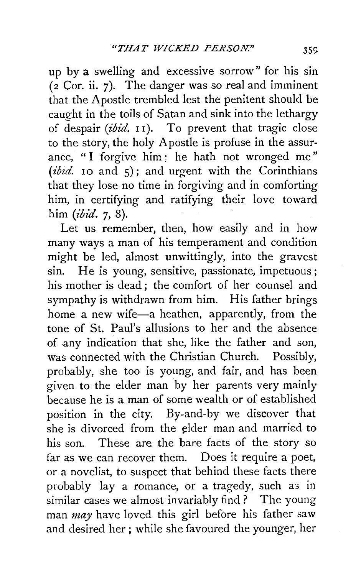up by a swelling and excessive sorrow" for his sin (2 Cor. ii. 7). The danger was so real and imminent that the Apostle trembled lest the penitent should be caught in the toils of Satan and sink into the lethargy of despair *(ibid. II)*. To prevent that tragic close to the story, the holy Apostle is profuse in the assurance, "I forgive him: he hath not wronged me"  $(ibiid.$  10 and  $5)$ ; and urgent with the Corinthians that they lose no time in forgiving and in comforting him, in certifying and ratifying their love toward him *(ibid.* 7, 8).

Let us remember, then, how easily and in how many ways a man of his temperament and condition might be led, almost unwittingly, into the gravest sin. He is young, sensitive, passionate, impetuous; his mother is dead : the comfort of her counsel and sympathy is withdrawn from him. His father brings home a new wife-a heathen, apparently, from the tone of St. Paul's allusions to her and the absence of .any indication that she, like the father and son, was connected with the Christian Church. Possibly, probably, she too is young, and fair, and has been given to the elder man by her parents very mainly because he is a man of some wealth or of established position in the city. By-and-by we discover that she is divorced from the elder man and married to his son. These are the bare facts of the story so far as we can recover them. Does it require a poet, or a novelist, to suspect that behind these facts there probably lay a romance, or a tragedy, such as in similar cases we almost invariably find ? The young man *may* have loved this girl before his father saw and desired her ; while she favoured the younger, her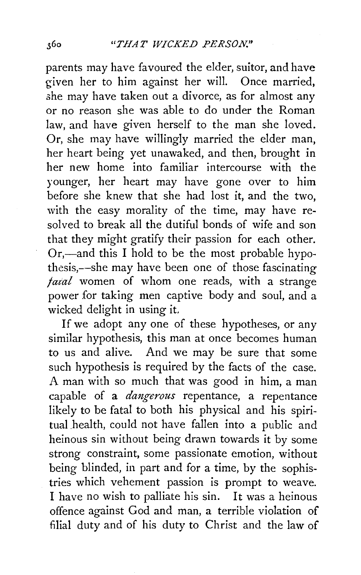parents may have favoured the elder, suitor, and have given her to him against her will. Once married, she may have taken out a divorce, as for almost any or no reason she was able to do under the Roman law, and have given herself to the man she loved. Or, she may have willingly married the elder man, her heart being yet unawaked, and then, brought in her new home into familiar intercourse with the younger, her heart may have gone over to him before she knew that she had lost it, and the two, with the easy morality of the time, may have resolved to break all the dutiful bonds of wife and son that they might gratify their passion for each other. Or,—and this I hold to be the most probable hypothesis,--she may have been one of those fascinating *faial* women of whom one reads, with a strange power for taking men captive body and soul, and a wicked delight in using it.

If we adopt any one of these hypotheses, or any similar hypothesis, this man at once becomes human to us and alive. And we may be sure that some such hypothesis is required by the facts of the case. A man with so much that was good in him, a man capable of a *dangerous* repentance, a repentance likely to be fatal to both his physical and his spiritual health, could not have fallen into a public and heinous sin without being drawn towards it by some strong constraint, some passionate emotion, without being blinded, in part and for a time, by the sophistries which vehement passion is prompt to weave. I have no wish to palliate his sin. It was a heinous offence against God and man, a terrible violation of filial duty and of his duty to Christ and the law of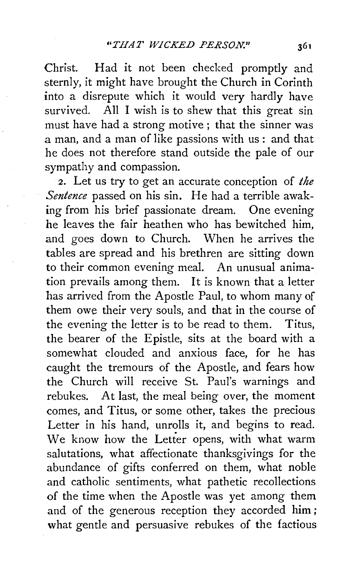Christ. Had it not been checked promptly and sternly, it might have brought the Church in Corinth into a disrepute which it would very hardly have survived. All I wish is to shew that this great sin must have had a strong motive; that the sinner was a man, and a man of like passions with us: and that he does not therefore stand outside the pale of our sympathy and compassion.

2. Let us try to get an accurate conception of *the Sentence* passed on his sin. He had a terrible awaking from his brief passionate dream. One evening he leaves the fair heathen who has bewitched him, and goes down to Church. When he arrives the tables are spread and his brethren are sitting down to their common evening meal. An unusual animation prevails among them. It is known that a letter has arrived from the Apostle Paul, to whom many of them owe their very souls, and that in the course of the evening the letter is to be read to them. Titus, the bearer of the Epistle, sits at the board with a somewhat clouded and anxious face, for he has caught the tremours of the Apostle, and fears how the Church will receive St. Paul's warnings and rebukes. At last, the meal being over, the moment comes, and Titus, or some other, takes the precious Letter in his hand, unrolls it, and begins to read. We know how the Letter opens, with what warm salutations, what affectionate thanksgivings for the abundance of gifts conferred on them, what noble and catholic sentiments, what pathetic recollections of the time when the Apostle was yet among them and of the generous reception they accorded him ; what gentle and persuasive rebukes of the factious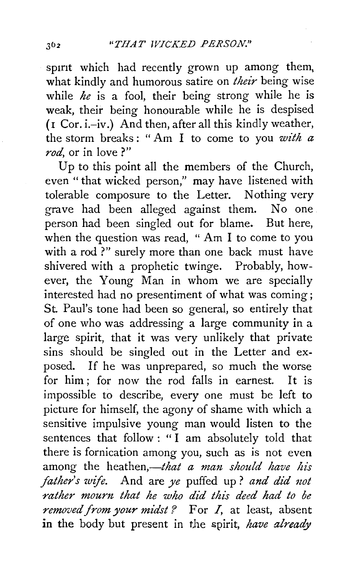spirit which had recently grown up among them, what kindly and humorous satire on *their* being wise while *he* is a fool, their being strong while he is weak, their being honourable while he is despised ( 1 Cor. i.-iv .) And then, after all this kindly weather, the storm breaks : " Am I to come to you *with a rod,* or in love ?"

Up to this point all the members of the Church, even " that wicked person," may have listened with tolerable composure to the Letter. Nothing very grave had been alleged against them. No one person had been singled out for blame. But here, when the question was read, "Am I to come to you with a rod?" surely more than one back must have shivered with a prophetic twinge. Probably, however, the Young Man in whom we are specially interested had no presentiment of what was coming; St. Paul's tone had been so general, so entirely that of one who was addressing a large community in a large spirit, that it was very unlikely that private sins should be singled out in the Letter and exposed. If he was unprepared, so much the worse for him ; for now the rod falls in earnest. It is impossible to describe, every one must be left to picture for himself, the agony of shame with which a sensitive impulsive young man would listen to the sentences that follow : "I am absolutely told that there is fornication among you, such as is not even among the *heathen,—that a man should have his father's wife.* And are *ye* puffed up? *and did not rather mourn that he who did this deed had to be removed from your midst?* For I, at least, absent in the body but present in the spirit, *have already*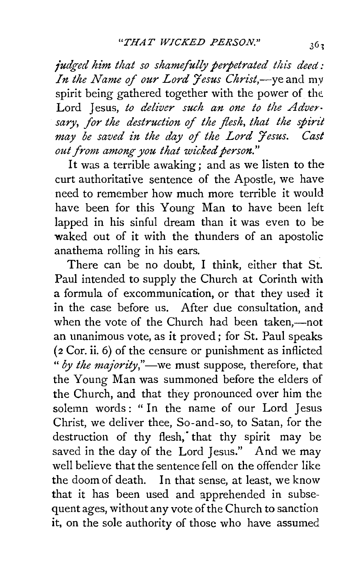*fudged him that so shamefully perpetrated this deed: In the Name of our Lord 'Jesus Christ,-yeand* my spirit being gathered together with the power of the Lord Jesus, *to deliver such an one to the Adversary, for the destruction* of *the flesh, that the spirit may be saved in the day of the Lord 'Jesus. Cast out from among you that wicked person."* 

It was a terrible awaking ; and as we listen to the curt authoritative sentence of the Apostle, we have need to remember how much more terrible it would have been for this Young Man to have been left lapped in his sinful dream than it was even to be waked out of it with the thunders of an apostolic anathema rolling in his ears.

There can be no doubt, I think, either that St. Paul intended to supply the Church at Corinth with a formula of excommunication, or that they used it in the case before us. After due consultation, and when the vote of the Church had been taken,—not an unanimous vote, as it proved ; for St. Paul speaks (2 Cor. ii. 6) of the censure or punishment as inflicted *"by the majority,"-we* must suppose, therefore, that the Young Man was summoned before the elders of the Church, and that they pronounced over him the solemn words: "In the name of our Lord Jesus Christ, we deliver thee, So-and-so, to Satan, for the destruction of thy flesh, that thy spirit may be saved in the day of the Lord Jesus." And we may well believe that the sentence fell on the offender like the doom of death. In that sense, at least, we know that it has been used and apprehended in subsequent ages, without any vote of the Church to sanction it, on the sole authority of those who have assumed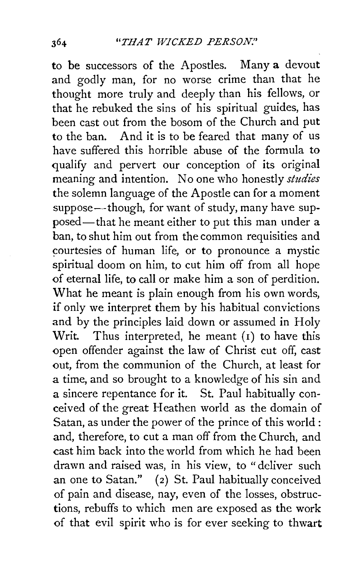to be successors of the Apostles. Many a devout and godly man, for no worse crime than that he thought more truly and deeply than his fellows, or that he rebuked the sins of his spiritual guides, has been cast out from the bosom of the Church and put to the ban. And it is to be feared that many of us have suffered this horrible abuse of the formula to qualify and pervert our conception of its original meaning and intention. No one who honestly *studies*  the solemn language of the Apostle can for a moment suppose—though, for want of study, many have supposed—that he meant either to put this man under a ban, to shut him out from the common requisities and courtesies of human life, or to pronounce a mystic spiritual doom on him, to cut him off from all hope of eternal life, to call or make him a son of perdition. What he meant is plain enough from his own words, if only we interpret them by his habitual convictions and by the principles laid down or assumed in Holy Writ. Thus interpreted, he meant (1) to have this open offender against the law of Christ cut off, cast out, from the communion of the Church, at least for a time, and so brought to a knowledge of his sin and a sincere repentance for it. St. Paul habitually conceived of the great Heathen world as the domain of Satan, as under the power of the prince of this world : and, therefore, to cut a man off from the Church, and cast him back into the world from which he had been drawn and raised was, in his view, to "deliver such an one to Satan." (2) St. Paul habitually conceived of pain and disease, nay, even of the losses, obstructions, rebuffs to which men are exposed as the work of that evil spirit who is for ever seeking to thwart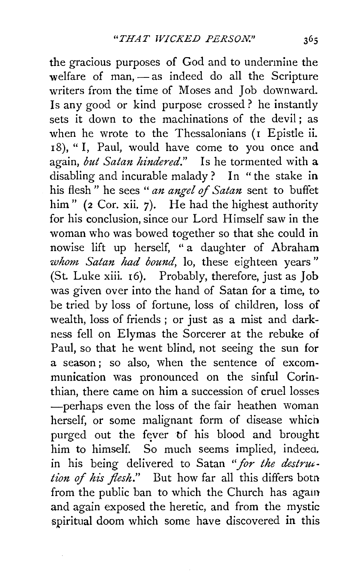the gracious purposes of God and to undermine the welfare of man, - as indeed do all the Scripture writers from the time of Moses and Job downward. Is any good or kind purpose crossed ? he instantly sets it down to the machinations of the devil; as when he wrote to the Thessalonians (I Epistle ii. 18), "I, Paul, would have come to you once and again, *but Satan hindered."* Is he tormented with a disabling and incurable malady? In "the stake in his flesh " he sees " *an angel* of *Satan* sent to buffet him" (2 Cor. xii. 7). He had the highest authority for his conclusion, since our Lord Himself saw in the woman who was bowed together so that she could in nowise lift up herself, " a daughter of Abraham *whom Satan had bound,* lo, these eighteen years" (St. Luke xiii. 16). Probably, therefore, just as Job was given over into the hand of Satan for a time, to be tried by loss of fortune, loss of children, loss of wealth, loss of friends ; or just as a mist and darkness fell on Elymas the Sorcerer at the rebuke of Paul, so that he went blind, not seeing the sun for a season; so also, when the sentence of excommunication was pronounced on the sinful Corinthian, there came on him a succession of cruel losses -perhaps even the loss of the fair heathen woman herself, or some malignant form of disease whicn purged out the fever of his blood and brought him to himself. So much seems implied, indeea. in his being delivered to Satan *"for the destrut- tion* of *his flesh."* But how far all this differs botn from the public ban to which the Church has again and again exposed the heretic, and from the mystic spiritual doom which some have discovered in this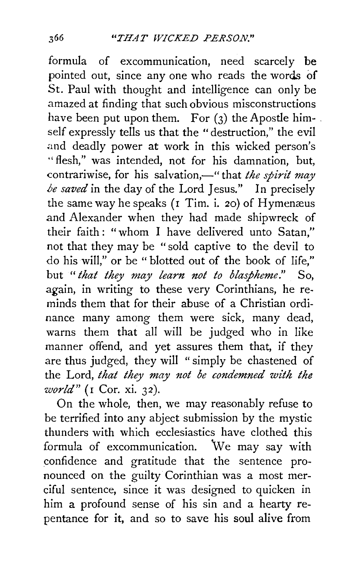formula of excommunication, need scarcely be pointed out, since any one who reads the words of St. Paul with thought and intelligence can only be amazed at finding that such obvious misconstructions have been put upon them. For  $(3)$  the Apostle himself expressly tells us that the "destruction," the evil and deadly power at work in this wicked person's "flesh," was intended, not for his damnation, but, contrariwise, for his salvation,—" that *the spirit may /Je saved* in the day of the Lord Jesus." In precisely the same way he speaks  $(I$  Tim. i. 20) of Hymenaeus and Alexander when they had made shipwreck of their faith : "whom I have delivered unto Satan," not that they may be " sold captive to the devil to do his will," or be " blotted out of the book of life," but *"that they may learn not to blaspheme."* So, again, in writing to these very Corinthians, he re. minds them that for their abuse of a Christian ordi. nance many among them were sick, many dead, warns them that all will be judged who in like manner offend, and yet assures them that, if they are thus judged, they will "simply be chastened of the Lord, *that they may not be condemned with the world"* (I Cor. xi. 3 *2* ).

On the whole, then, we may reasonably refuse to be terrified into any abject submission by the mystic thunders with which ecclesiastics have clothed this formula of excommunication. We may say with confidence and gratitude that the sentence pronounced on the guilty Corinthian was a most merciful sentence, since it was designed to quicken in him a profound sense of his sin and a hearty repentance for it, and so to save his soul alive from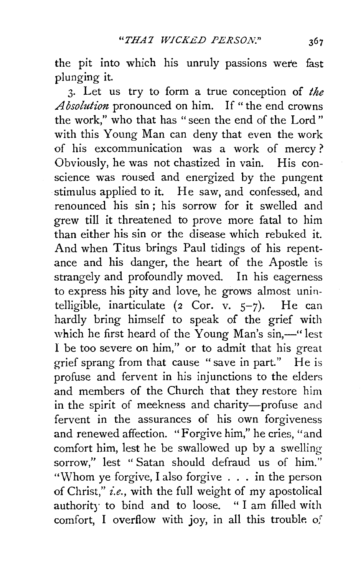the pit into which his unruly passions were fast plunging it.

3· Let us try to form a true conception of *the Absolution* pronounced on him. If "the end crowns the work," who that has "seen the end of the Lord" with this Young Man can deny that even the work of his excommunication was a work of mercy ? Obviously, he was not chastized in vain. His conscience was roused and energized by the pungent stimulus applied to it. He saw, and confessed, and renounced his sin ; his sorrow for it swelled and grew till it threatened to prove more fatal to him than either his sin or the disease which rebuked it. And when Titus brings Paul tidings of his repentance and his danger, the heart of the Apostle is strangely and profoundly moved. In his eagerness to express his pity and love, he grows almost unintelligible, inarticulate (2 Cor.  $v$ ,  $5-7$ ). He can hardly bring himself to speak of the grief with which he first heard of the Young Man's sin,-" lest I be too severe on him," or to admit that his great grief sprang from that cause "save in part." He is profuse and fervent in his injunctions to the elders and members of the Church that they restore him in the spirit of meekness and charity-profuse and fervent in the assurances of his own forgiveness and renewed affection. "Forgive him," he cries, "and comfort him, lest he be swallowed up by a swelling sorrow," lest "Satan should defraud us of him." "Whom ye forgive, I also forgive . . . in the person of Christ," *i.e.,* with the full weight of my apostolical authority to bind and to loose. " I am filled with comfort, I overflow with joy, in all this trouble of